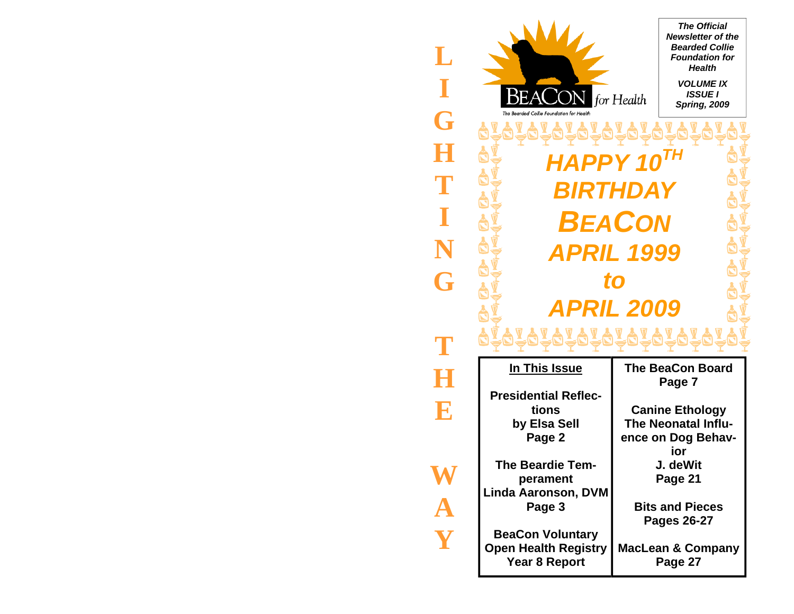

**L I G H T I N G T H E** 

**A**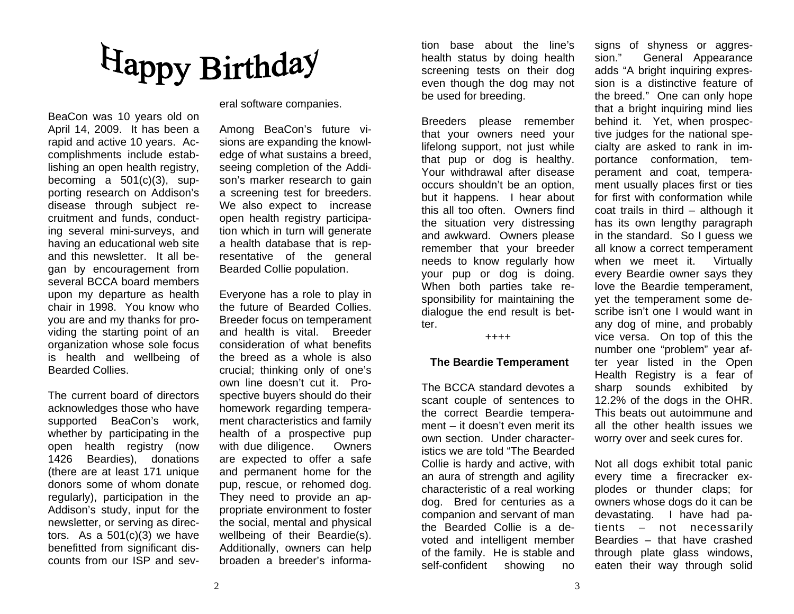# Happy Birthday

BeaCon was 10 years old on April 14, 2009. It has been a rapid and active 10 years. Ac complishments include estab lishing an open health registry, becoming a 501(c)(3), sup disease through subject recruitment and funds, conduct ing several mini-surveys, and having an educational web site and this newsletter. It all began by encouragement from several BCCA board members upon my departure as health chair in 1998. You know who you are and my thanks for pro-

viding the starting point of an<br>organization whose sole focus<br>is health and wellbeing of<br>Bearded Collies.<br>The current board of directors<br>acknowledges those who have<br>supported BeaCon's work,<br>whether by participating in the<br> tors. As a 501(c)(3) we have benefitted from significant dis counts from our ISP and several software companies.

Among BeaCon's future visions are expanding the knowledge of what sustains a breed, seeing completion of the Addison's marker research to gain a screening test for breeders. We also expect to increase open health registry participation which in turn will generate a health database that is representative of the general Bearded Collie population.

Everyone has a role to play in the future of Bearded Collies. Breeder focus on temperament and health is vital. Breeder consideration of what benefits the breed as a whole is also crucial; thinking only of one's own line doesn't cut it. Prospective buyers should do their homework regarding temperament characteristics and family health of a prospective pup with due diligence. Owners are expected to offer a safe and permanent home for the pup, rescue, or rehomed dog. They need to provide an appropriate environment to foster the social, mental and physical wellbeing of their Beardie(s). Additionally, owners can help broaden a breeder's informa-

tion base about the line's<br>health status by doing health<br>screening tests on their dog<br>even though the dog may not<br>be used for breeding.<br>Breeders please remember<br>that your owners need your<br>lifelong support, not just while<br>t sponsibility for maintaining the dialogue the end result is bet ter.<br>++++

#### **The Beardie Temperament**

The BCCA standard devotes a scant couple of sentences to the correct Beardie tempera ment – it doesn't even merit its own section. Under characteristics we are told "The Bearded Collie is hardy and active, with an aura of strength and agility characteristic of a real working dog. Bred for centuries as a companion and servant of man the Bearded Collie is a de-

tion base about the lime's signs of shyness or aggres-<br>thealth status by doing health sion." General Appearance<br>screening tests on their dog ands "A bright inquiring exprese-<br>seven though the dog may not sion is a distinct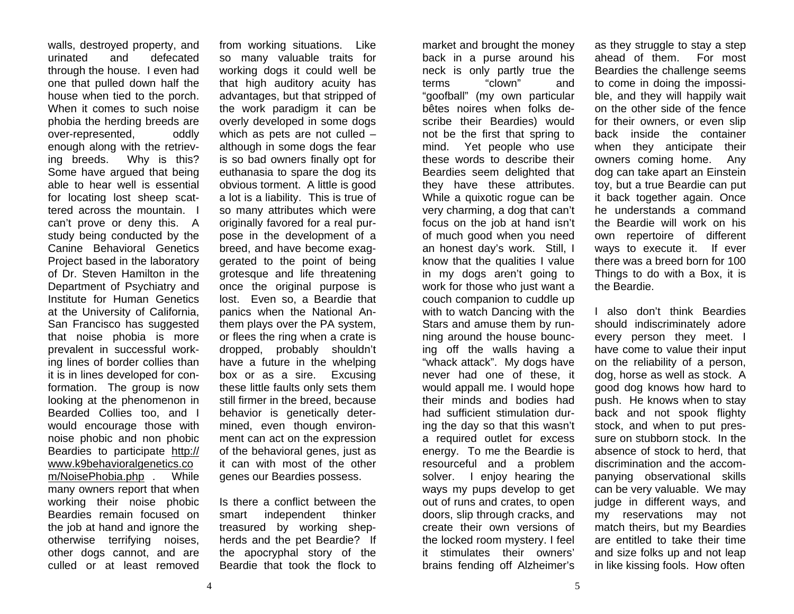walls, destroyed property, and urinated and defecated through the house. I even had one that pulled down half the house when tied to the porch. When it comes to such noise phobia the herding breeds are over-represented, oddly enough along with the retrieving breeds. Why is this? Some have argued that being able to hear well is essential for locating lost sheep scattered across the mountain. I can't prove or deny this. A study being conducted by the Canine Behavioral Genetics Project based in the laboratory of Dr. Steven Hamilton in the Department of Psychiatry and Institute for Human Genetics at the University of California, San Francisco has suggested that noise phobia is more prevalent in successful working lines of border collies than it is in lines developed for conformation. The group is now looking at the phenomenon in Bearded Collies too, and I would encourage those with noise phobic and non phobic Beardies to participate http:// www.k9behavioralgenetics.co m/NoisePhobia.php . While many owners report that when working their noise phobic Beardies remain focused on the job at hand and ignore the otherwise terrifying noises, other dogs cannot, and are culled or at least removed

from working situations. Like so many valuable traits for working dogs it could well be that high auditory acuity has advantages, but that stripped of the work paradigm it can be overly developed in some dogs which as pets are not culled – although in some dogs the fear is so bad owners finally opt for euthanasia to spare the dog its obvious torment. A little is good a lot is a liability. This is true of so many attributes which were originally favored for a real purpose in the development of a breed, and have become exaggerated to the point of being grotesque and life threatening once the original purpose is lost. Even so, a Beardie that panics when the National Anthem plays over the PA system, or flees the ring when a crate is dropped, probably shouldn't have a future in the whelping box or as a sire. Excusing these little faults only sets them still firmer in the breed, because behavior is genetically determined, even though environment can act on the expression of the behavioral genes, just as it can with most of the other genes our Beardies possess.

Is there a conflict between the smart independent thinker treasured by working shepherds and the pet Beardie? If the apocryphal story of the Beardie that took the flock to

market and brought the money back in a purse around his neck is only partly true the terms "clown" and "goofball" (my own particular bêtes noires when folks describe their Beardies) would not be the first that spring to mind. Yet people who use these words to describe their Beardies seem delighted that they have these attributes. While a quixotic rogue can be very charming, a dog that can't focus on the job at hand isn't of much good when you need an honest day's work. Still, I know that the qualities I value in my dogs aren't going to work for those who just want a couch companion to cuddle up with to watch Dancing with the Stars and amuse them by running around the house bouncing off the walls having a "whack attack". My dogs have never had one of these, it would appall me. I would hope their minds and bodies had had sufficient stimulation during the day so that this wasn't a required outlet for excess energy. To me the Beardie is resourceful and a problem solver. I enjoy hearing the ways my pups develop to get out of runs and crates, to open doors, slip through cracks, and create their own versions of the locked room mystery. I feel it stimulates their owners' brains fending off Alzheimer's

as they struggle to stay a step ahead of them. For most Beardies the challenge seems to come in doing the impossible, and they will happily wait on the other side of the fence for their owners, or even slip back inside the container when they anticipate their owners coming home. Any dog can take apart an Einstein toy, but a true Beardie can put it back together again. Once he understands a command the Beardie will work on his own repertoire of different ways to execute it. If ever there was a breed born for 100 Things to do with a Box, it is the Beardie.

I also don't think Beardies should indiscriminately adore every person they meet. I have come to value their input on the reliability of a person, dog, horse as well as stock. A good dog knows how hard to push. He knows when to stay back and not spook flighty stock, and when to put pressure on stubborn stock. In the absence of stock to herd, that discrimination and the accompanying observational skills can be very valuable. We may judge in different ways, and my reservations may not match theirs, but my Beardies are entitled to take their time and size folks up and not leap in like kissing fools. How often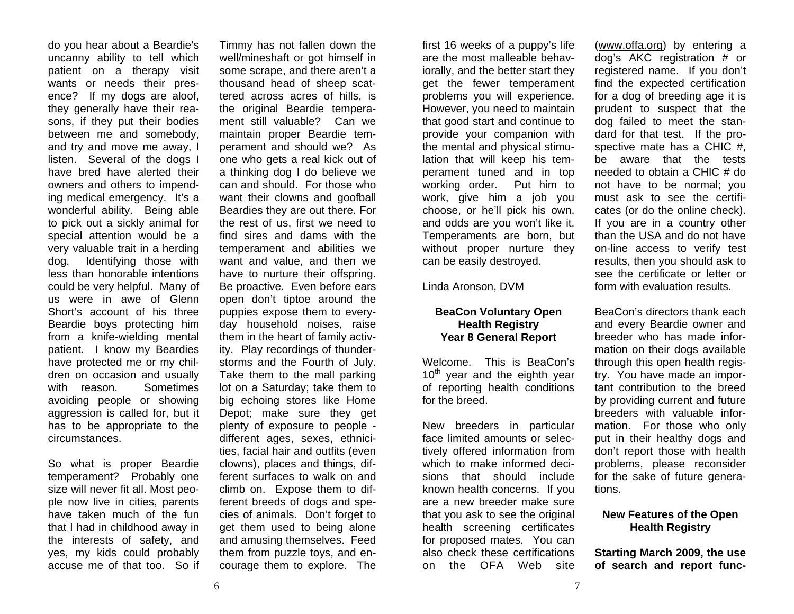do you hear about a Beardie's uncanny ability to tell which patient on a therapy visit wants or needs their presence? If my dogs are aloof, they generally have their reasons, if they put their bodies between me and somebody, and try and move me away, I listen. Several of the dogs I have bred have alerted their owners and others to impending medical emergency. It's a wonderful ability. Being able to pick out a sickly animal for special attention would be a very valuable trait in a herding dog. Identifying those with less than honorable intentions could be very helpful. Many of us were in awe of Glenn Short's account of his three Beardie boys protecting him from a knife-wielding mental patient. I know my Beardies have protected me or my children on occasion and usually with reason. Sometimes avoiding people or showing aggression is called for, but it has to be appropriate to the circumstances.

So what is proper Beardie temperament? Probably one size will never fit all. Most people now live in cities, parents have taken much of the fun that I had in childhood away in the interests of safety, and yes, my kids could probably accuse me of that too. So if

Timmy has not fallen down the well/mineshaft or got himself in some scrape, and there aren't a thousand head of sheep scattered across acres of hills, is the original Beardie temperament still valuable? Can we maintain proper Beardie temperament and should we? As one who gets a real kick out of a thinking dog I do believe we can and should. For those who want their clowns and goofball Beardies they are out there. For the rest of us, first we need to find sires and dams with the temperament and abilities we want and value, and then we have to nurture their offspring. Be proactive. Even before ears open don't tiptoe around the puppies expose them to everyday household noises, raise them in the heart of family activity. Play recordings of thunderstorms and the Fourth of July. Take them to the mall parking lot on a Saturday; take them to big echoing stores like Home Depot; make sure they get plenty of exposure to people different ages, sexes, ethnicities, facial hair and outfits (even clowns), places and things, different surfaces to walk on and climb on. Expose them to different breeds of dogs and species of animals. Don't forget to get them used to being alone and amusing themselves. Feed them from puzzle toys, and encourage them to explore. The

first 16 weeks of a puppy's life are the most malleable behaviorally, and the better start they get the fewer temperament problems you will experience. However, you need to maintain that good start and continue to provide your companion with the mental and physical stimulation that will keep his temperament tuned and in top working order. Put him to work, give him a job you choose, or he'll pick his own, and odds are you won't like it. Temperaments are born, but without proper nurture they can be easily destroyed.

Linda Aronson, DVM

#### **BeaCon Voluntary Open Health Registry Year 8 General Report**

Welcome. This is BeaCon's  $10<sup>th</sup>$  year and the eighth year of reporting health conditions for the breed.

New breeders in particular face limited amounts or selectively offered information from which to make informed decisions that should include known health concerns. If you are a new breeder make sure that you ask to see the original health screening certificates for proposed mates. You can also check these certifications on the OFA Web site

(www.offa.org) by entering a dog's AKC registration # or registered name. If you don't find the expected certification for a dog of breeding age it is prudent to suspect that the dog failed to meet the standard for that test. If the prospective mate has a CHIC #, be aware that the tests needed to obtain a CHIC # do not have to be normal; you must ask to see the certificates (or do the online check). If you are in a country other than the USA and do not have on-line access to verify test results, then you should ask to see the certificate or letter or form with evaluation results.

BeaCon's directors thank each and every Beardie owner and breeder who has made information on their dogs available through this open health registry. You have made an important contribution to the breed by providing current and future breeders with valuable information. For those who only put in their healthy dogs and don't report those with health problems, please reconsider for the sake of future generations.

## **New Features of the Open Health Registry**

**Starting March 2009, the use of search and report func-**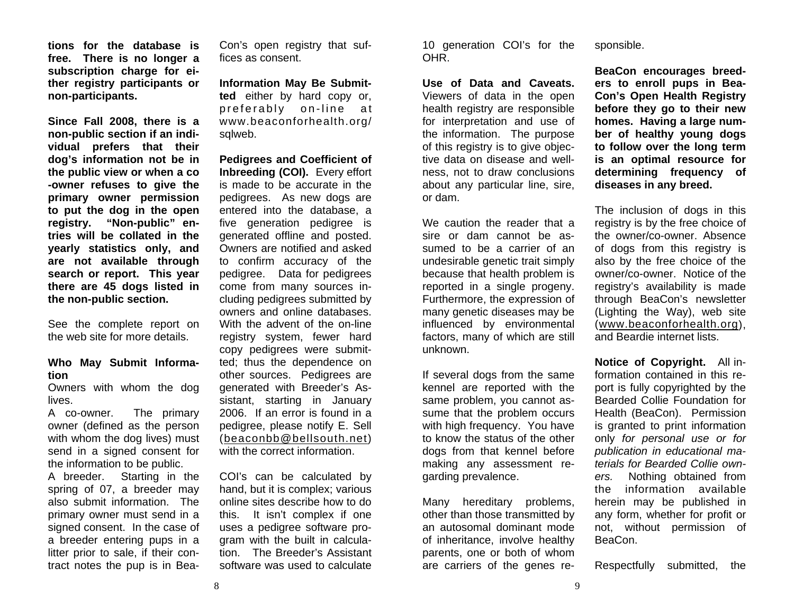**tions for the database is free. There is no longer a subscription charge for either registry participants or non-participants.** 

**Since Fall 2008, there is a non-public section if an individual prefers that their dog's information not be in the public view or when a co -owner refuses to give the primary owner permission to put the dog in the open registry. "Non-public" entries will be collated in the yearly statistics only, and are not available through search or report. This year there are 45 dogs listed in the non-public section.** 

See the complete report on the web site for more details.

#### **Who May Submit Information**

Owners with whom the dog lives.

A co-owner. The primary owner (defined as the person with whom the dog lives) must send in a signed consent for the information to be public.

A breeder. Starting in the spring of 07, a breeder may also submit information. The primary owner must send in a signed consent. In the case of a breeder entering pups in a litter prior to sale, if their contract notes the pup is in BeaCon's open registry that suf fices as consent.

**Information May Be Submit ted** either by hard copy or,<br>preferably on-line at<br>www.beaconforhealth.org/ sqlweb.

**Pedigrees and Coefficient of**<br>**Inbreeding (COI).** Every effort<br>is made to be accurate in the<br>pedigrees. As new dogs are<br>entered into the database, a<br>five generation pedigree is<br>generated offline and posted.<br>Owners are not cluding pedigrees submitted by owners and online databases. With the advent of the on-line registry system, fewer hard copy pedigrees were submit ted; thus the dependence on other sources. Pedigrees are generated with Breeder's As- Con'ts open registry that suf-<br>
Information May Be Submit-<br>
Information May Be Submit-<br>
Information May Be Submit-<br>
Information May Be Submit-<br>
Use of Data and Caveats. erg to enorsing beed-<br>
Information May Be Submit-<br>
Ma

sistant, starting in January<br>2006. If an error is found in a<br>pedigree, please notify E. Sell<br>(beaconbb@bellsouth.net)<br>with the correct information.<br>COI's can be calculated by<br>hand, but it is complex; various<br>online sites d gram with the built in calcula-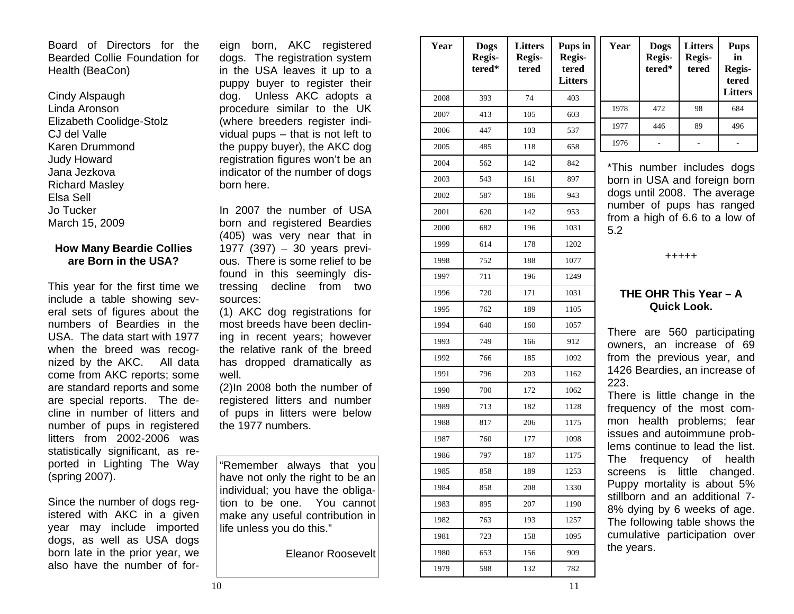Board of Directors for the Bearded Collie Foundation for Health (BeaCon)

Cindy Alspaugh Linda Aronson Elizabeth Coolidge-Stolz CJ del Valle Karen Drummond Judy Howard Jana Jezkova Richard Masley Elsa Sell Jo Tucker March 15, 2009

#### **How Many Beardie Collies are Born in the USA?**

This year for the first time we include a table showing several sets of figures about the numbers of Beardies in the USA. The data start with 1977 when the breed was recognized by the AKC. All data come from AKC reports; some are standard reports and some are special reports. The decline in number of litters and number of pups in registered litters from 2002-2006 was statistically significant, as reported in Lighting The Way (spring 2007).

Since the number of dogs registered with AKC in a given year may include imported dogs, as well as USA dogs born late in the prior year, we also have the number of for-

| eıgn<br>born, AKC registered<br>dogs. The registration system<br>in the USA leaves it up to a<br>puppy buyer to register their<br>Unless AKC adopts a<br>dog. | Year<br>2008 | <b>Dogs</b><br>Regis-<br>tered*<br>393 | <b>Litters</b><br>Regis-<br>tered<br>74 | Pups in<br>Regis-<br>tered<br><b>Litters</b><br>403 | Year                                                       | <b>Dogs</b><br>Regis-<br>tered*                                | <b>Litters</b><br>Regis-<br>tered | <b>Pups</b><br>in<br>Regis-<br>tered<br><b>Litters</b> |  |  |
|---------------------------------------------------------------------------------------------------------------------------------------------------------------|--------------|----------------------------------------|-----------------------------------------|-----------------------------------------------------|------------------------------------------------------------|----------------------------------------------------------------|-----------------------------------|--------------------------------------------------------|--|--|
| procedure similar to the UK                                                                                                                                   | 2007         | 413                                    | 105                                     | 603                                                 | 1978                                                       | 472                                                            | 98                                | 684                                                    |  |  |
| (where breeders register indi-                                                                                                                                | 2006         | 447                                    | 103                                     | 537                                                 | 1977                                                       | 446                                                            | 89                                | 496                                                    |  |  |
| vidual pups - that is not left to<br>the puppy buyer), the AKC dog                                                                                            | 2005         | 485                                    | 118                                     | 658                                                 | 1976                                                       |                                                                |                                   |                                                        |  |  |
| registration figures won't be an                                                                                                                              | 2004         | 562                                    | 142                                     | 842                                                 |                                                            |                                                                |                                   |                                                        |  |  |
| indicator of the number of dogs                                                                                                                               | 2003         | 543                                    | 161                                     | 897                                                 | *This number includes dogs<br>born in USA and foreign born |                                                                |                                   |                                                        |  |  |
| born here.                                                                                                                                                    | 2002         | 587                                    | 186                                     | 943                                                 |                                                            | dogs until 2008. The average                                   |                                   |                                                        |  |  |
| In 2007 the number of USA                                                                                                                                     | 2001         | 620                                    | 142                                     | 953                                                 |                                                            | number of pups has ranged                                      |                                   |                                                        |  |  |
| born and registered Beardies                                                                                                                                  | 2000         | 682                                    | 196                                     | 1031                                                | 5.2                                                        | from a high of 6.6 to a low of                                 |                                   |                                                        |  |  |
| (405) was very near that in<br>1977 (397) - 30 years previ-                                                                                                   | 1999         | 614                                    | 178                                     | 1202                                                |                                                            |                                                                |                                   |                                                        |  |  |
| ous. There is some relief to be                                                                                                                               | 1998         | 752                                    | 188                                     | 1077                                                |                                                            | $+++++$                                                        |                                   |                                                        |  |  |
| found in this seemingly dis-                                                                                                                                  | 1997         | 711                                    | 196                                     | 1249                                                |                                                            |                                                                |                                   |                                                        |  |  |
| decline<br>tressing<br>from<br>two<br>sources:<br>(1) AKC dog registrations for<br>most breeds have been declin-                                              | 1996         | 720                                    | 171                                     | 1031                                                | THE OHR This Year - A<br><b>Quick Look.</b>                |                                                                |                                   |                                                        |  |  |
|                                                                                                                                                               | 1995         | 762                                    | 189                                     | 1105                                                |                                                            |                                                                |                                   |                                                        |  |  |
|                                                                                                                                                               | 1994         | 640                                    | 160                                     | 1057                                                |                                                            |                                                                |                                   |                                                        |  |  |
| ing in recent years; however                                                                                                                                  | 1993         | 749                                    | 166                                     | 912                                                 | There are 560 participating<br>owners, an increase of 69   |                                                                |                                   |                                                        |  |  |
| the relative rank of the breed<br>has dropped dramatically as                                                                                                 | 1992         | 766                                    | 185                                     | 1092                                                | from the previous year, and                                |                                                                |                                   |                                                        |  |  |
| well.                                                                                                                                                         | 1991         | 796                                    | 203                                     | 1162                                                |                                                            | 1426 Beardies, an increase of                                  |                                   |                                                        |  |  |
| (2)In 2008 both the number of                                                                                                                                 | 1990         | 700                                    | 172                                     | 1062                                                | 223.                                                       |                                                                |                                   | There is little change in the                          |  |  |
| registered litters and number<br>of pups in litters were below                                                                                                | 1989         | 713                                    | 182                                     | 1128                                                |                                                            | frequency of the most com-                                     |                                   |                                                        |  |  |
| the 1977 numbers.                                                                                                                                             | 1988         | 817                                    | 206                                     | 1175                                                |                                                            | mon health problems; fear                                      |                                   |                                                        |  |  |
|                                                                                                                                                               | 1987         | 760                                    | 177                                     | 1098                                                |                                                            | issues and autoimmune prob-<br>lems continue to lead the list. |                                   |                                                        |  |  |
|                                                                                                                                                               | 1986         | 797                                    | 187                                     | 1175                                                | The                                                        | frequency                                                      | of                                | health                                                 |  |  |
| "Remember always that you<br>have not only the right to be an                                                                                                 | 1985         | 858                                    | 189                                     | 1253                                                | screens                                                    |                                                                |                                   | is little changed.                                     |  |  |
| individual; you have the obliga-                                                                                                                              | 1984         | 858                                    | 208                                     | 1330                                                |                                                            | Puppy mortality is about 5%                                    |                                   |                                                        |  |  |
| tion to be one. You cannot                                                                                                                                    | 1983         | 895                                    | 207                                     | 1190                                                |                                                            | stillborn and an additional 7-<br>8% dying by 6 weeks of age.  |                                   |                                                        |  |  |
| make any useful contribution in<br>life unless you do this."                                                                                                  | 1982         | 763                                    | 193                                     | 1257                                                |                                                            |                                                                |                                   | The following table shows the                          |  |  |
|                                                                                                                                                               | 1981         | 723                                    | 158                                     | 1095                                                |                                                            | cumulative participation over                                  |                                   |                                                        |  |  |
| <b>Eleanor Roosevelt</b>                                                                                                                                      | 1980         | 653                                    | 156                                     | 909                                                 | the years.                                                 |                                                                |                                   |                                                        |  |  |
|                                                                                                                                                               | 1979         | 588                                    | 132                                     | 782                                                 |                                                            |                                                                |                                   |                                                        |  |  |

| n<br>ŝ | Year | <b>Dogs</b><br>Regis-<br>tered* | <b>Litters</b><br>Regis-<br>tered | <b>Pups</b><br>in<br>Regis-<br>tered<br><b>Litters</b> |
|--------|------|---------------------------------|-----------------------------------|--------------------------------------------------------|
|        | 1978 | 472                             | 98                                | 684                                                    |
|        | 1977 | 446                             | 89                                | 496                                                    |
|        | 1976 |                                 |                                   |                                                        |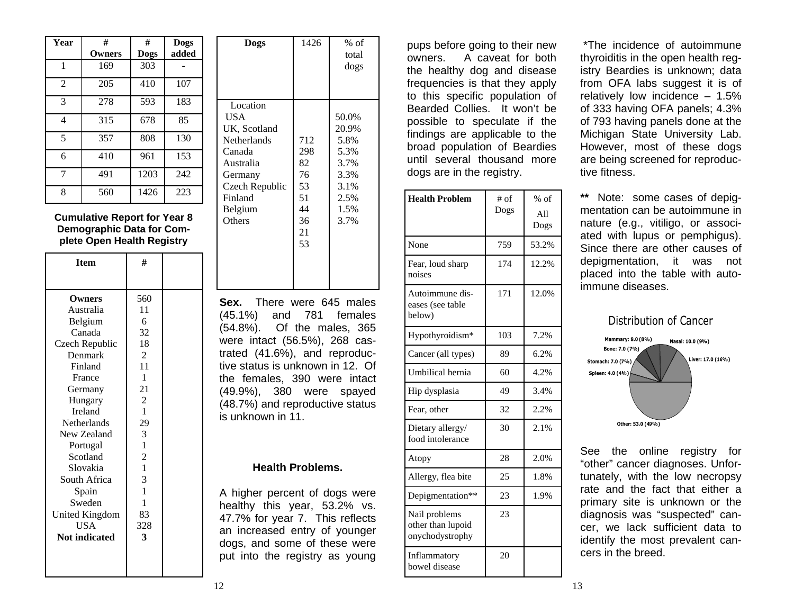| Year           | #      | #           | <b>Dogs</b> |
|----------------|--------|-------------|-------------|
|                | Owners | <b>Dogs</b> | added       |
| 1              | 169    | 303         |             |
| $\mathfrak{D}$ | 205    | 410         | 107         |
| 3              | 278    | 593         | 183         |
| 4              | 315    | 678         | 85          |
| 5              | 357    | 808         | 130         |
| 6              | 410    | 961         | 153         |
| 7              | 491    | 1203        | 242         |
| 8              | 560    | 1426        | 223         |

**Cumulative Report for Year 8 Demographic Data for Complete Open Health Registry** 

| <b>Item</b>           | #              |  |
|-----------------------|----------------|--|
|                       |                |  |
| Owners                | 560            |  |
| Australia             | 11             |  |
| Belgium               | 6              |  |
| Canada                | 32             |  |
| Czech Republic        | 18             |  |
| Denmark               | 2              |  |
| Finland               | 11             |  |
| France                | 1              |  |
| Germany               | 21             |  |
| Hungary               | 2              |  |
| Ireland               | 1              |  |
| Netherlands           | 29             |  |
| New Zealand           | 3              |  |
| Portugal              | $\mathbf{1}$   |  |
| Scotland              | $\overline{c}$ |  |
| Slovakia              | 1              |  |
| South Africa          | 3              |  |
| Spain                 | $\mathbf{1}$   |  |
| Sweden                | 1              |  |
| <b>United Kingdom</b> | 83             |  |
| <b>USA</b>            | 328            |  |
| <b>Not indicated</b>  | 3              |  |
|                       |                |  |
|                       |                |  |
|                       |                |  |

| LULS                                                                                                                                | ⊥⊤∠∪                                                       | 70 U.I<br>total<br>dogs                                                        |
|-------------------------------------------------------------------------------------------------------------------------------------|------------------------------------------------------------|--------------------------------------------------------------------------------|
| Location<br>USA.<br>UK, Scotland<br>Netherlands<br>Canada<br>Australia<br>Germany<br>Czech Republic<br>Finland<br>Belgium<br>Others | 712<br>298<br>82<br>76<br>53<br>51<br>44<br>36<br>21<br>53 | 50.0%<br>20.9%<br>5.8%<br>5.3%<br>3.7%<br>3.3%<br>3.1%<br>2.5%<br>1.5%<br>3.7% |

**Dogs** 1426 % of

**Sex.** There were 645 males (45.1%) and 781 females (54.8%). Of the males, 365 were intact (56.5%), 268 castrated (41.6%), and reproductive status is unknown in 12. Of the females, 390 were intact (49.9%), 380 were spayed (48.7%) and reproductive status is unknown in 11.

#### **Health Problems.**

A higher percent of dogs were healthy this year, 53.2% vs. 47.7% for year 7. This reflects an increased entry of younger dogs, and some of these were put into the registry as young

pups before going to their new owners. A caveat for both the healthy dog and disease frequencies is that they apply to this specific population of Bearded Collies. It won't be possible to speculate if the findings are applicable to the broad population of Beardies until several thousand more dogs are in the registry.

| <b>Health Problem</b>                                 | $#$ of<br>Dogs | $%$ of<br>A11<br>Dogs |
|-------------------------------------------------------|----------------|-----------------------|
| None                                                  | 759            | 53.2%                 |
| Fear, loud sharp<br>noises                            | 174            | 12.2%                 |
| Autoimmune dis-<br>eases (see table<br>below)         | 171            | 12.0%                 |
| Hypothyroidism*                                       | 103            | 7.2%                  |
| Cancer (all types)                                    | 89             | 6.2%                  |
| Umbilical hernia                                      | 60             | 4.2%                  |
| Hip dysplasia                                         | 49             | 3.4%                  |
| Fear, other                                           | 32             | 2.2%                  |
| Dietary allergy/<br>food intolerance                  | 30             | 2.1%                  |
| Atopy                                                 | 28             | 2.0%                  |
| Allergy, flea bite                                    | 25             | 1.8%                  |
| Depigmentation**                                      | 23             | 1.9%                  |
| Nail problems<br>other than lupoid<br>onychodystrophy | 23             |                       |
| Inflammatory<br>bowel disease                         | 20             |                       |

 \*The incidence of autoimmune thyroiditis in the open health registry Beardies is unknown; data from OFA labs suggest it is of relatively low incidence – 1.5% of 333 having OFA panels; 4.3% of 793 having panels done at the Michigan State University Lab. However, most of these dogs are being screened for reproductive fitness.

**\*\*** Note: some cases of depigmentation can be autoimmune in nature (e.g., vitiligo, or associated with lupus or pemphigus). Since there are other causes of depigmentation, it was not placed into the table with autoimmune diseases.

#### Distribution of Cancer



See the online registry for "other" cancer diagnoses. Unfortunately, with the low necropsy rate and the fact that either a primary site is unknown or the diagnosis was "suspected" cancer, we lack sufficient data to identify the most prevalent cancers in the breed.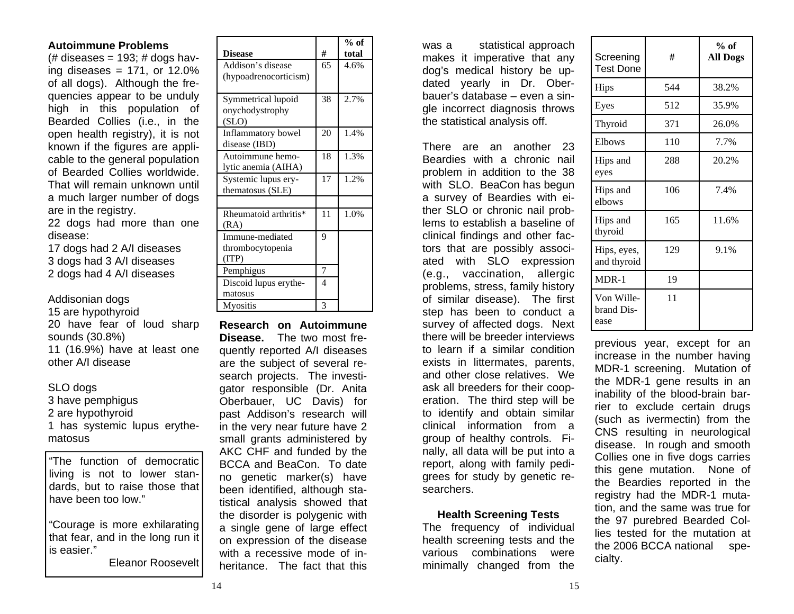#### **Autoimmune Problems**

 $#$  diseases = 193; # dogs having diseases =  $171$ , or  $12.0\%$ of all dogs). Although the frequencies appear to be unduly high in this population of Bearded Collies (i.e., in the open health registry), it is not known if the figures are applicable to the general population of Bearded Collies worldwide. That will remain unknown until a much larger number of dogs are in the registry.

22 dogs had more than one disease:

17 dogs had 2 A/I diseases 3 dogs had 3 A/I diseases 2 dogs had 4 A/I diseases

#### Addisonian dogs

15 are hypothyroid 20 have fear of loud sharp sounds (30.8%) 11 (16.9%) have at least one other A/I disease

#### SLO dogs

3 have pemphigus 2 are hypothyroid 1 has systemic lupus erythematosus

"The function of democratic living is not to lower standards, but to raise those that have been too low."

"Courage is more exhilarating that fear, and in the long run it is easier."

Eleanor Roosevelt

|                       |    | % of  |
|-----------------------|----|-------|
| <b>Disease</b>        | #  | total |
| Addison's disease     | 65 | 4.6%  |
| (hypoadrenocorticism) |    |       |
|                       |    |       |
| Symmetrical lupoid    | 38 | 2.7%  |
| onychodystrophy       |    |       |
| (SLO)                 |    |       |
| Inflammatory bowel    | 20 | 1.4%  |
| disease (IBD)         |    |       |
| Autoimmune hemo-      | 18 | 1.3%  |
| lytic anemia (AIHA)   |    |       |
| Systemic lupus ery-   | 17 | 1.2%  |
| thematosus (SLE)      |    |       |
|                       |    |       |
| Rheumatoid arthritis* | 11 | 1.0%  |
| (RA)                  |    |       |
| Immune-mediated       | 9  |       |
| thrombocytopenia      |    |       |
| (TTP)                 |    |       |
| Pemphigus             | 7  |       |
| Discoid lupus erythe- | 4  |       |
| matosus               |    |       |
| <b>Myositis</b>       | 3  |       |

**Research on Autoimmune Disease.** The two most frequently reported A/I diseases are the subject of several research projects. The investigator responsible (Dr. Anita Oberbauer, UC Davis) for past Addison's research will in the very near future have 2 small grants administered by AKC CHF and funded by the BCCA and BeaCon. To date no genetic marker(s) have been identified, although statistical analysis showed that the disorder is polygenic with a single gene of large effect on expression of the disease with a recessive mode of inheritance. The fact that this

was a statistical approach makes it imperative that any dog's medical history be updated yearly in Dr. Oberbauer's database – even a single incorrect diagnosis throws the statistical analysis off.

There are an another 23 Beardies with a chronic nail problem in addition to the 38 with SLO. BeaCon has begun a survey of Beardies with either SLO or chronic nail problems to establish a baseline of clinical findings and other factors that are possibly associated with SLO expression (e.g., vaccination, allergic problems, stress, family history of similar disease). The first step has been to conduct a survey of affected dogs. Next there will be breeder interviews to learn if a similar condition exists in littermates, parents, and other close relatives. We ask all breeders for their cooperation. The third step will be to identify and obtain similar clinical information from a group of healthy controls. Finally, all data will be put into a report, along with family pedigrees for study by genetic researchers.

#### **Health Screening Tests**

The frequency of individual health screening tests and the various combinations were minimally changed from the

| Screening<br><b>Test Done</b>    | #   | % of<br><b>All Dogs</b> |
|----------------------------------|-----|-------------------------|
| Hips                             | 544 | 38.2%                   |
| Eyes                             | 512 | 35.9%                   |
| Thyroid                          | 371 | 26.0%                   |
| Elbows                           | 110 | 7.7%                    |
| Hips and<br>eyes                 | 288 | 20.2%                   |
| Hips and<br>elbows               | 106 | 7.4%                    |
| Hips and<br>thyroid              | 165 | 11.6%                   |
| Hips, eyes,<br>and thyroid       | 129 | 9.1%                    |
| $MDR-1$                          | 19  |                         |
| Von Wille-<br>brand Dis-<br>ease | 11  |                         |

previous year, except for an increase in the number having MDR-1 screening. Mutation of the MDR-1 gene results in an inability of the blood-brain barrier to exclude certain drugs (such as ivermectin) from the CNS resulting in neurological disease. In rough and smooth Collies one in five dogs carries this gene mutation. None of the Beardies reported in the registry had the MDR-1 mutation, and the same was true for the 97 purebred Bearded Collies tested for the mutation at the 2006 BCCA national specialty.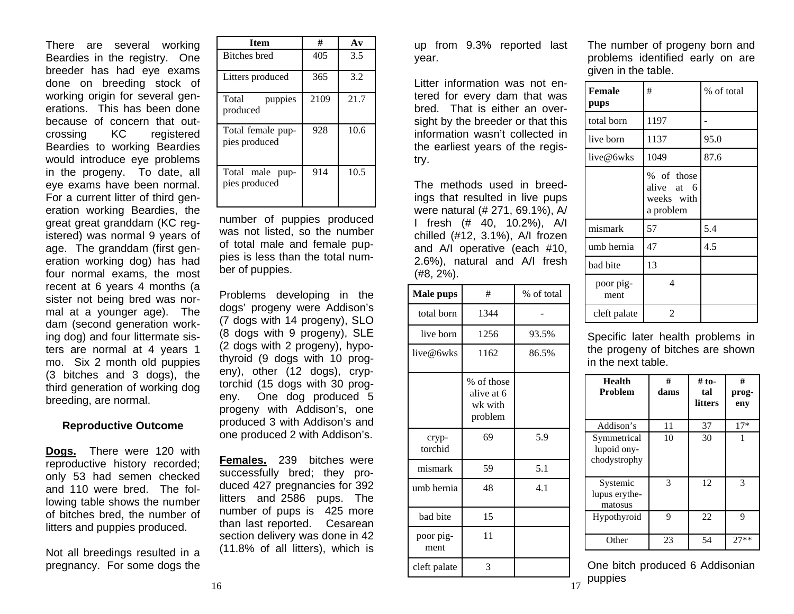There are several working Beardies in the registry. One breeder has had eye exams done on breeding stock of working origin for several generations. This has been done because of concern that outcrossing KC registered Beardies to working Beardies would introduce eye problems in the progeny. To date, all eye exams have been normal. For a current litter of third generation working Beardies, the great great granddam (KC registered) was normal 9 years of age. The granddam (first generation working dog) has had four normal exams, the most recent at 6 years 4 months (a sister not being bred was normal at a younger age). The dam (second generation working dog) and four littermate sisters are normal at 4 years 1 mo. Six 2 month old puppies (3 bitches and 3 dogs), the third generation of working dog breeding, are normal.

#### **Reproductive Outcome**

**Dogs.** There were 120 with reproductive history recorded; only 53 had semen checked and 110 were bred. The following table shows the number of bitches bred, the number of litters and puppies produced.

Not all breedings resulted in a pregnancy. For some dogs the

| <b>Item</b>                        | #    | $A\mathbf{v}$ |  |
|------------------------------------|------|---------------|--|
| <b>Bitches</b> bred                | 405  | 3.5           |  |
| Litters produced                   | 365  | 3.2           |  |
| Total<br>puppies<br>produced       | 2109 | 21.7          |  |
| Total female pup-<br>pies produced | 928  | 10.6          |  |
| Total male pup-<br>pies produced   | 914  | 10.5          |  |

number of puppies produced was not listed, so the number of total male and female puppies is less than the total number of puppies.

Problems developing in the dogs' progeny were Addison's (7 dogs with 14 progeny), SLO (8 dogs with 9 progeny), SLE (2 dogs with 2 progeny), hypothyroid (9 dogs with 10 progeny), other (12 dogs), cryptorchid (15 dogs with 30 progeny. One dog produced 5 progeny with Addison's, one produced 3 with Addison's and one produced 2 with Addison's.

**Females.** 239 bitches were successfully bred; they produced 427 pregnancies for 392 litters and 2586 pups. The number of pups is 425 more than last reported. Cesarean section delivery was done in 42 (11.8% of all litters), which is

up from 9.3% reported last year.

Litter information was not entered for every dam that was bred. That is either an oversight by the breeder or that this information wasn't collected in the earliest years of the registry.

The methods used in breedings that resulted in live pups were natural (# 271, 69.1%), A/ I fresh (# 40, 10.2%), A/I chilled (#12, 3.1%), A/I frozen and A/I operative (each #10, 2.6%), natural and A/I fresh (#8, 2%).

| <b>Male pups</b>  | #                                              | % of total |
|-------------------|------------------------------------------------|------------|
| total born        | 1344                                           |            |
| live born         | 1256                                           | 93.5%      |
| live@6wks         | 1162                                           | 86.5%      |
|                   | % of those<br>alive at 6<br>wk with<br>problem |            |
| cryp-<br>torchid  | 69                                             | 5.9        |
| mismark           | 59                                             | 5.1        |
| umb hernia        | 48                                             | 4.1        |
| bad bite          | 15                                             |            |
| poor pig-<br>ment | 11                                             |            |
| cleft palate      | 3                                              |            |

The number of progeny born and problems identified early on are given in the table.

| <b>Female</b><br>pups | #                                                   | % of total |
|-----------------------|-----------------------------------------------------|------------|
| total born            | 1197                                                |            |
| live born             | 1137                                                | 95.0       |
| live@6wks             | 1049                                                | 87.6       |
|                       | % of those<br>alive at 6<br>weeks with<br>a problem |            |
| mismark               | 57                                                  | 5.4        |
| umb hernia            | 47                                                  | 4.5        |
| bad bite              | 13                                                  |            |
| poor pig-<br>ment     | 4                                                   |            |
| cleft palate          | 2                                                   |            |

Specific later health problems in the progeny of bitches are shown in the next table.

| Health<br><b>Problem</b>                   | #<br>dams | $#$ to-<br>tal<br>litters | #<br>prog-<br>eny |
|--------------------------------------------|-----------|---------------------------|-------------------|
| Addison's                                  | 11        | 37                        | $17*$             |
| Symmetrical<br>lupoid ony-<br>chodystrophy | 10        | 30                        |                   |
| Systemic<br>lupus erythe-<br>matosus       | 3         | 12                        | 3                 |
| Hypothyroid                                | 9         | 22                        | 9                 |
| Other                                      | 23        | 54                        | $27**$            |

 puppies One bitch produced 6 Addisonian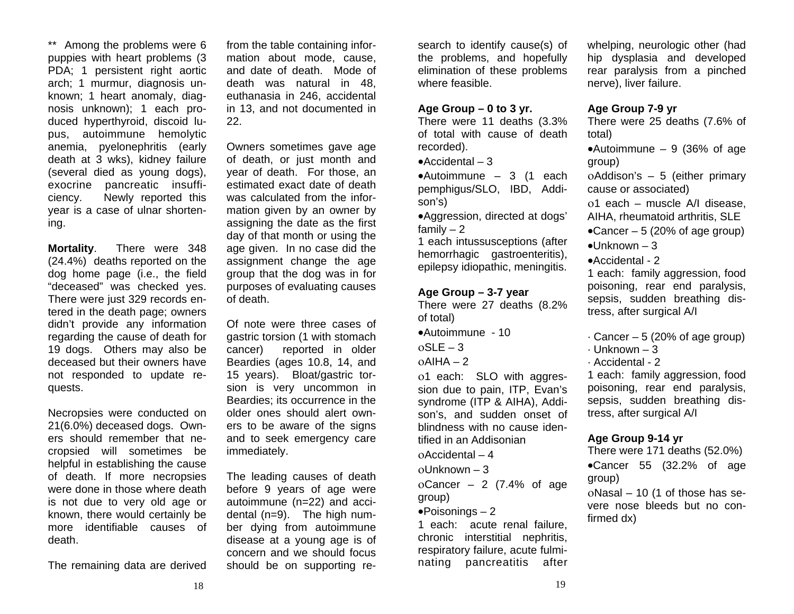\*\* Among the problems were 6 puppies with heart problems (3 PDA: 1 persistent right aortic arch; 1 murmur, diagnosis unknown; 1 heart anomaly, diagnosis unknown); 1 each produced hyperthyroid, discoid lupus, autoimmune hemolytic anemia, pyelonephritis (early death at 3 wks), kidney failure (several died as young dogs), exocrine pancreatic insufficiency. Newly reported this year is a case of ulnar shortening.

**Mortality**. There were 348 (24.4%) deaths reported on the dog home page (i.e., the field "deceased" was checked yes. There were just 329 records entered in the death page; owners didn't provide any information regarding the cause of death for 19 dogs. Others may also be deceased but their owners have not responded to update requests.

Necropsies were conducted on 21(6.0%) deceased dogs. Owners should remember that necropsied will sometimes be helpful in establishing the cause of death. If more necropsies were done in those where death is not due to very old age or known, there would certainly be more identifiable causes of death.

The remaining data are derived

from the table containing information about mode, cause, and date of death. Mode of death was natural in 48, euthanasia in 246, accidental in 13, and not documented in 22.

Owners sometimes gave age of death, or just month and year of death. For those, an estimated exact date of death was calculated from the information given by an owner by assigning the date as the first day of that month or using the age given. In no case did the assignment change the age group that the dog was in for purposes of evaluating causes of death.

Of note were three cases of gastric torsion (1 with stomach cancer) reported in older Beardies (ages 10.8, 14, and 15 years). Bloat/gastric torsion is very uncommon in Beardies; its occurrence in the older ones should alert owners to be aware of the signs and to seek emergency care immediately.

The leading causes of death before 9 years of age were autoimmune (n=22) and accidental (n=9). The high number dying from autoimmune disease at a young age is of concern and we should focus should be on supporting research to identify cause(s) of the problems, and hopefully elimination of these problems where feasible.

#### **Age Group – 0 to 3 yr.**

There were 11 deaths (3.3% of total with cause of death recorded).

•Accidental – 3

•Autoimmune – 3 (1 each pemphigus/SLO, IBD, Addison's)

•Aggression, directed at dogs' family  $-2$ 

1 each intussusceptions (after hemorrhagic gastroenteritis), epilepsy idiopathic, meningitis.

#### **Age Group – 3-7 year**

There were 27 deaths (8.2% of total)

•Autoimmune - 10

οSLE – 3

οAIHA – 2

ο1 each: SLO with aggression due to pain, ITP, Evan's syndrome (ITP & AIHA), Addison's, and sudden onset of blindness with no cause identified in an Addisonian

οAccidental – 4

οUnknown – 3

oCancer – 2  $(7.4\% \text{ of age})$ group)

#### $\bullet$ Poisonings – 2

1 each: acute renal failure, chronic interstitial nephritis, respiratory failure, acute fulminating pancreatitis after

whelping, neurologic other (had hip dysplasia and developed rear paralysis from a pinched nerve), liver failure.

#### **Age Group 7-9 yr**

There were 25 deaths (7.6% of total)

•Autoimmune – 9 (36% of age group)

<sup>ο</sup>Addison's – 5 (either primary cause or associated)

<sup>ο</sup>1 each – muscle A/I disease, AIHA, rheumatoid arthritis, SLE

- $\bullet$ Cancer 5 (20% of age group)
- $\bullet$ Unknown 3
- •Accidental 2

1 each: family aggression, food poisoning, rear end paralysis, sepsis, sudden breathing distress, after surgical A/I

- $\cdot$  Cancer 5 (20% of age group)
- · Unknown 3
- · Accidental 2

1 each: family aggression, food poisoning, rear end paralysis, sepsis, sudden breathing distress, after surgical A/I

## **Age Group 9-14 yr**

There were 171 deaths (52.0%) •Cancer 55 (32.2% of age group)

οNasal – 10 (1 of those has severe nose bleeds but no confirmed dx)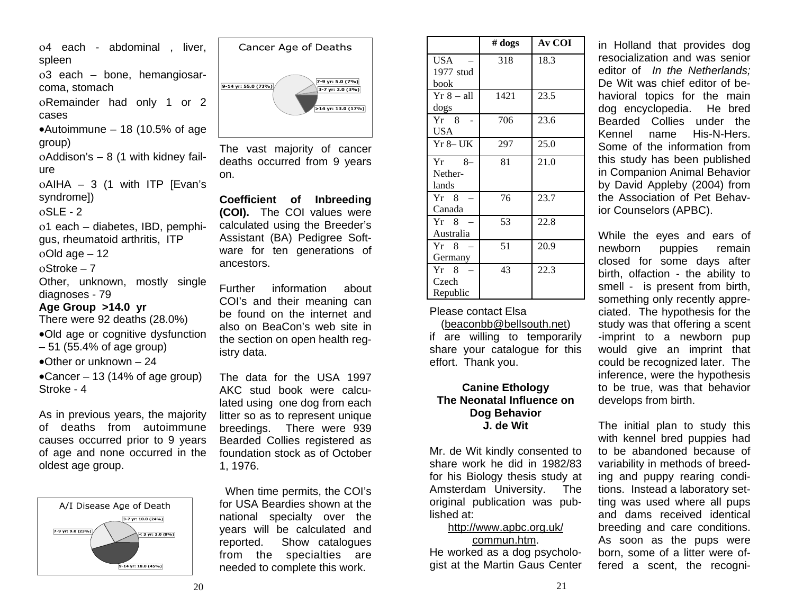<sup>ο</sup>4 each - abdominal , liver, spleen

ο3 each – bone, hemangiosarcoma, stomach

<sup>ο</sup>Remainder had only 1 or 2 cases

•Autoimmune – 18 (10.5% of age group)

οAddison's – 8 (1 with kidney failure<sup>ο</sup>AIHA – 3 (1 with ITP [Evan's syndrome])

οSLE - 2

ο1 each – diabetes, IBD, pemphi-

gus, rheumatoid arthritis, ITP

<sup>ο</sup>Old age – 12

οStroke – 7

Other, unknown, mostly single diagnoses - 79

## **Age Group >14.0 yr**

There were 92 deaths (28.0%)

•Old age or cognitive dysfunction

– 51 (55.4% of age group)

•Other or unknown  $-24$ 

•Cancer – 13 (14% of age group) Stroke - 4

As in previous years, the majority of deaths from autoimmune causes occurred prior to 9 years of age and none occurred in the oldest age group.





The vast majority of cancer deaths occurred from 9 years on.

**Coefficient of Inbreeding (COI).** The COI values were calculated using the Breeder's Assistant (BA) Pedigree Software for ten generations of ancestors.

Further information about COI's and their meaning can be found on the internet and also on BeaCon's web site in the section on open health registry data.

The data for the USA 1997 AKC stud book were calculated using one dog from each litter so as to represent unique breedings. There were 939 Bearded Collies registered as foundation stock as of October 1, 1976.

When time permits, the COI's for USA Beardies shown at the national specialty over the years will be calculated and reported. Show catalogues from the specialties are needed to complete this work.

|                | # dogs | <b>Av COI</b> |
|----------------|--------|---------------|
| USA            | 318    | 18.3          |
| 1977 stud      |        |               |
| book           |        |               |
| Yr 8 – all     | 1421   | 23.5          |
| dogs           |        |               |
| $Yr \quad 8$   | 706    | 23.6          |
| USA            |        |               |
| $Yr - 8$ UK    | 297    | 25.0          |
| Yr 8–          | 81     | 21.0          |
| Nether-        |        |               |
| lands          |        |               |
| $Yr \quad 8$   | 76     | 23.7          |
| Canada         |        |               |
| $Yr \quad 8 =$ | 53     | 22.8          |
| Australia      |        |               |
| $Yr \quad 8$   | 51     | 20.9          |
| Germany        |        |               |
| $Yr \quad 8$   | 43     | 22.3          |
| Czech          |        |               |
| Republic       |        |               |

Please contact Elsa

(beaconbb@bellsouth.net) if are willing to temporarily share your catalogue for this effort. Thank you.

## **Canine Ethology The Neonatal Influence on Dog Behavior J. de Wit**

Mr. de Wit kindly consented to share work he did in 1982/83 for his Biology thesis study at Amsterdam University. The original publication was published at:

#### http://www.apbc.org.uk/ commun.htm.

He worked as a dog psychologist at the Martin Gaus Center

in Holland that provides dog resocialization and was senior editor of *In the Netherlands;* De Wit was chief editor of behavioral topics for the main dog encyclopedia. He bred Bearded Collies under the Kennel name His-N-Hers. Some of the information from this study has been published in Companion Animal Behavior by David Appleby (2004) from the Association of Pet Behavior Counselors (APBC).

While the eyes and ears of newborn puppies remain closed for some days after birth, olfaction - the ability to smell - is present from birth, something only recently appreciated. The hypothesis for the study was that offering a scent -imprint to a newborn pup would give an imprint that could be recognized later. The inference, were the hypothesis to be true, was that behavior develops from birth.

The initial plan to study this with kennel bred puppies had to be abandoned because of variability in methods of breeding and puppy rearing conditions. Instead a laboratory setting was used where all pups and dams received identical breeding and care conditions. As soon as the pups were born, some of a litter were offered a scent, the recogni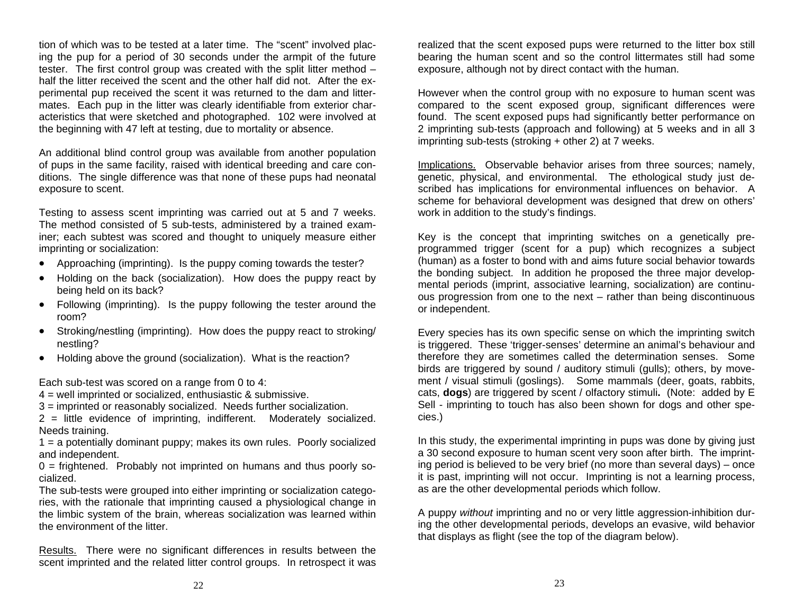tion of which was to be tested at a later time. The "scent" involved placing the pup for a period of 30 seconds under the armpit of the future tester. The first control group was created with the split litter method – half the litter received the scent and the other half did not. After the experimental pup received the scent it was returned to the dam and littermates. Each pup in the litter was clearly identifiable from exterior characteristics that were sketched and photographed. 102 were involved at the beginning with 47 left at testing, due to mortality or absence.

An additional blind control group was available from another population of pups in the same facility, raised with identical breeding and care conditions. The single difference was that none of these pups had neonatal exposure to scent.

Testing to assess scent imprinting was carried out at 5 and 7 weeks. The method consisted of 5 sub-tests, administered by a trained examiner; each subtest was scored and thought to uniquely measure either imprinting or socialization:

- Approaching (imprinting). Is the puppy coming towards the tester?
- Holding on the back (socialization). How does the puppy react by being held on its back?
- Following (imprinting). Is the puppy following the tester around the room?
- Stroking/nestling (imprinting). How does the puppy react to stroking/ nestling?
- Holding above the ground (socialization). What is the reaction?

Each sub-test was scored on a range from 0 to 4:

4 = well imprinted or socialized, enthusiastic & submissive.

3 = imprinted or reasonably socialized. Needs further socialization.

2 = little evidence of imprinting, indifferent. Moderately socialized. Needs training.

1 = a potentially dominant puppy; makes its own rules. Poorly socialized and independent.

 $0 =$  frightened. Probably not imprinted on humans and thus poorly socialized.

The sub-tests were grouped into either imprinting or socialization categories, with the rationale that imprinting caused a physiological change in the limbic system of the brain, whereas socialization was learned within the environment of the litter.

Results. There were no significant differences in results between the scent imprinted and the related litter control groups. In retrospect it was

realized that the scent exposed pups were returned to the litter box still bearing the human scent and so the control littermates still had some exposure, although not by direct contact with the human.

However when the control group with no exposure to human scent was compared to the scent exposed group, significant differences were found. The scent exposed pups had significantly better performance on 2 imprinting sub-tests (approach and following) at 5 weeks and in all 3 imprinting sub-tests (stroking + other 2) at 7 weeks.

Implications. Observable behavior arises from three sources; namely, genetic, physical, and environmental. The ethological study just described has implications for environmental influences on behavior. A scheme for behavioral development was designed that drew on others' work in addition to the study's findings.

Key is the concept that imprinting switches on a genetically preprogrammed trigger (scent for a pup) which recognizes a subject (human) as a foster to bond with and aims future social behavior towards the bonding subject. In addition he proposed the three major developmental periods (imprint, associative learning, socialization) are continuous progression from one to the next – rather than being discontinuous or independent.

Every species has its own specific sense on which the imprinting switch is triggered. These 'trigger-senses' determine an animal's behaviour and therefore they are sometimes called the determination senses. Some birds are triggered by sound / auditory stimuli (gulls); others, by movement / visual stimuli (goslings). Some mammals (deer, goats, rabbits, cats, **dogs**) are triggered by scent / olfactory stimuli**.** (Note: added by E Sell - imprinting to touch has also been shown for dogs and other species.)

In this study, the experimental imprinting in pups was done by giving just a 30 second exposure to human scent very soon after birth. The imprinting period is believed to be very brief (no more than several days) – once it is past, imprinting will not occur. Imprinting is not a learning process, as are the other developmental periods which follow.

A puppy *without* imprinting and no or very little aggression-inhibition during the other developmental periods, develops an evasive, wild behavior that displays as flight (see the top of the diagram below).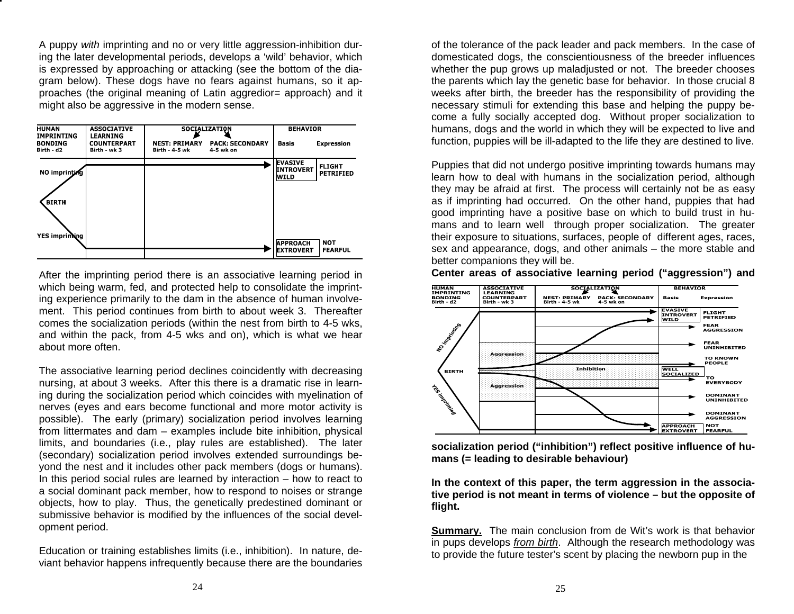A puppy *with* imprinting and no or very little aggression-inhibition during the later developmental periods, develops a 'wild' behavior, which is expressed by approaching or attacking (see the bottom of the diagram below). These dogs have no fears against humans, so it approaches (the original meaning of Latin aggredior= approach) and it might also be aggressive in the modern sense.



After the imprinting period there is an associative learning period in which being warm, fed, and protected help to consolidate the imprinting experience primarily to the dam in the absence of human involvement. This period continues from birth to about week 3. Thereafter comes the socialization periods (within the nest from birth to 4-5 wks, and within the pack, from 4-5 wks and on), which is what we hear about more often.

The associative learning period declines coincidently with decreasing nursing, at about 3 weeks. After this there is a dramatic rise in learning during the socialization period which coincides with myelination of nerves (eyes and ears become functional and more motor activity is possible). The early (primary) socialization period involves learning from littermates and dam – examples include bite inhibition, physical limits, and boundaries (i.e., play rules are established). The later (secondary) socialization period involves extended surroundings beyond the nest and it includes other pack members (dogs or humans). In this period social rules are learned by interaction – how to react to a social dominant pack member, how to respond to noises or strange objects, how to play. Thus, the genetically predestined dominant or submissive behavior is modified by the influences of the social development period.

Education or training establishes limits (i.e., inhibition). In nature, deviant behavior happens infrequently because there are the boundaries of the tolerance of the pack leader and pack members. In the case of domesticated dogs, the conscientiousness of the breeder influences whether the pup grows up maladjusted or not. The breeder chooses the parents which lay the genetic base for behavior. In those crucial 8 weeks after birth, the breeder has the responsibility of providing the necessary stimuli for extending this base and helping the puppy become a fully socially accepted dog. Without proper socialization to humans, dogs and the world in which they will be expected to live and function, puppies will be ill-adapted to the life they are destined to live.

Puppies that did not undergo positive imprinting towards humans may learn how to deal with humans in the socialization period, although they may be afraid at first. The process will certainly not be as easy as if imprinting had occurred. On the other hand, puppies that had good imprinting have a positive base on which to build trust in humans and to learn well through proper socialization. The greater their exposure to situations, surfaces, people of different ages, races, sex and appearance, dogs, and other animals – the more stable and better companions they will be.





**socialization period ("inhibition") reflect positive influence of humans (= leading to desirable behaviour)** 

**In the context of this paper, the term aggression in the associative period is not meant in terms of violence – but the opposite of flight.** 

**Summary.** The main conclusion from de Wit's work is that behavior in pups develops *from birth*. Although the research methodology was to provide the future tester's scent by placing the newborn pup in the